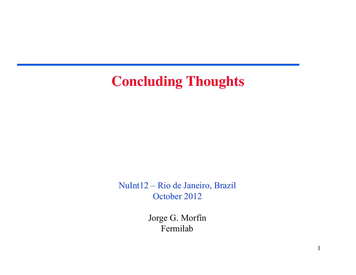### **Concluding Thoughts**

NuInt12 – Rio de Janeiro, Brazil October 2012

> Jorge G. Morfín Fermilab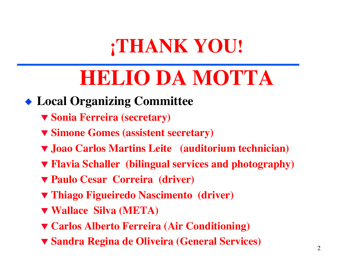## **¡THANK YOU!**

# **HELIO DA MOTTA**

### **Local Organizing Committee**

- **Sonia Ferreira (secretary)**
- **Simone Gomes (assistent secretary)**
- **Joao Carlos Martins Leite (auditorium technician)**
- **Flavia Schaller (bilingual services and photography)**
- **Paulo Cesar Correira (driver)**
- **Thiago Figueiredo Nascimento (driver)**
- **Wallace Silva (META)**
- **Carlos Alberto Ferreira (Air Conditioning)**
- **Sandra Regina de Oliveira (General Services)** 2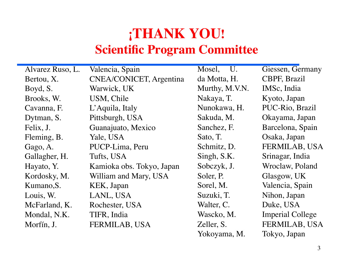### **¡THANK YOU! Scientific Program Committee**

| Alvarez Ruso, L. | Valencia, Spain                | Mosel, U.      | Giessen, Germany        |
|------------------|--------------------------------|----------------|-------------------------|
| Bertou, X.       | <b>CNEA/CONICET, Argentina</b> | da Motta, H.   | CBPF, Brazil            |
| Boyd, S.         | Warwick, UK                    | Murthy, M.V.N. | IMSc, India             |
| Brooks, W.       | USM, Chile                     | Nakaya, T.     | Kyoto, Japan            |
| Cavanna, F.      | L'Aquila, Italy                | Nunokawa, H.   | PUC-Rio, Brazil         |
| Dytman, S.       | Pittsburgh, USA                | Sakuda, M.     | Okayama, Japan          |
| Felix, J.        | Guanajuato, Mexico             | Sanchez, F.    | Barcelona, Spain        |
| Fleming, B.      | Yale, USA                      | Sato, T.       | Osaka, Japan            |
| Gago, A.         | PUCP-Lima, Peru                | Schmitz, D.    | FERMILAB, USA           |
| Gallagher, H.    | Tufts, USA                     | Singh, S.K.    | Srinagar, India         |
| Hayato, Y.       | Kamioka obs. Tokyo, Japan      | Sobczyk, J.    | Wroclaw, Poland         |
| Kordosky, M.     | William and Mary, USA          | Soler, P.      | Glasgow, UK             |
| Kumano, S.       | KEK, Japan                     | Sorel, M.      | Valencia, Spain         |
| Louis, W.        | LANL, USA                      | Suzuki, T.     | Nihon, Japan            |
| McFarland, K.    | Rochester, USA                 | Walter, C.     | Duke, USA               |
| Mondal, N.K.     | TIFR, India                    | Wascko, M.     | <b>Imperial College</b> |
| Morfín, J.       | FERMILAB, USA                  | Zeller, S.     | FERMILAB, USA           |
|                  |                                |                |                         |

Yokoyama, M. Tokyo, Japan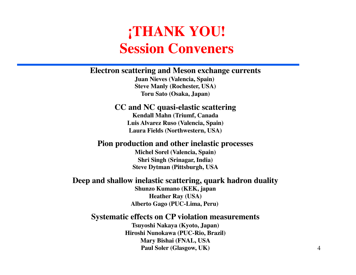### **¡THANK YOU! Session Conveners**

#### **Electron scattering and Meson exchange currents**

**Juan Nieves (Valencia, Spain) Steve Manly (Rochester, USA) Toru Sato (Osaka, Japan)**

### **CC and NC quasi-elastic scattering**

**Kendall Mahn (Triumf, Canada Luis Alvarez Ruso (Valencia, Spain) Laura Fields (Northwestern, USA)**

#### **Pion production and other inelastic processes**

**Michel Sorel (Valencia, Spain) Shri Singh (Srinagar, India) Steve Dytman (Pittsburgh, USA**

#### **Deep and shallow inelastic scattering, quark hadron duality**

**Shunzo Kumano (KEK, japan Heather Ray (USA) Alberto Gago (PUC-Lima, Peru)** 

#### **Systematic effects on CP violation measurements**

**Tsuyoshi Nakaya (Kyoto, Japan) Hiroshi Nunokawa (PUC-Rio, Brazil) Mary Bishai (FNAL, USA Paul Soler (Glasgow, UK)**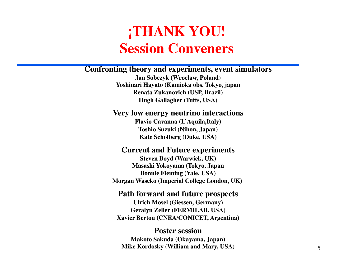### **¡THANK YOU! Session Conveners**

#### **Confronting theory and experiments, event simulators**

**Jan Sobczyk (Wroclaw, Poland) Yoshinari Hayato (Kamioka obs. Tokyo, japan Renata Zukanovich (USP, Brazil) Hugh Gallagher (Tufts, USA)**

#### **Very low energy neutrino interactions**

**Flavio Cavanna (L'Aquila,Italy) Toshio Suzuki (Nihon, Japan) Kate Scholberg (Duke, USA)**

#### **Current and Future experiments**

**Steven Boyd (Warwick, UK) Masashi Yokoyama (Tokyo, Japan Bonnie Fleming (Yale, USA) Morgan Wascko (Imperial College London, UK)** 

#### **Path forward and future prospects**

**Ulrich Mosel (Giessen, Germany) Geralyn Zeller (FERMILAB, USA) Xavier Bertou (CNEA/CONICET, Argentina)**

#### **Poster session**

**Makoto Sakuda (Okayama, Japan) Mike Kordosky (William and Mary, USA)**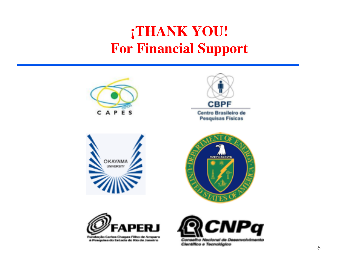### **¡THANK YOU! For Financial Support**











Fundação Carlos Chagas Filho de Amparo à Pesquisa do Estado do Rio de Janeiro

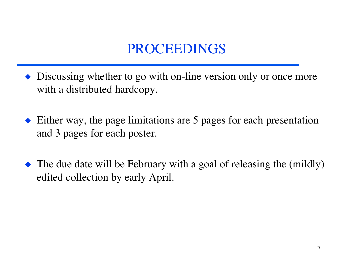### PROCEEDINGS

- Discussing whether to go with on-line version only or once more with a distributed hardcopy.
- ◆ Either way, the page limitations are 5 pages for each presentation and 3 pages for each poster.
- The due date will be February with a goal of releasing the (mildly) edited collection by early April.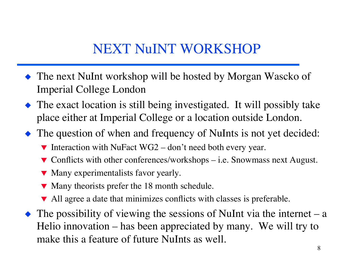### NEXT NuINT WORKSHOP

- The next NuInt workshop will be hosted by Morgan Wascko of Imperial College London
- The exact location is still being investigated. It will possibly take place either at Imperial College or a location outside London.
- The question of when and frequency of NuInts is not yet decided:
	- $\blacktriangledown$  Interaction with NuFact WG2 don't need both every year.
	- $\blacktriangledown$  Conflicts with other conferences/workshops i.e. Snowmass next August.
	- Many experimentalists favor yearly.
	- $\blacktriangledown$  Many theorists prefer the 18 month schedule.
	- All agree a date that minimizes conflicts with classes is preferable.
- $\triangle$  The possibility of viewing the sessions of NuInt via the internet a Helio innovation – has been appreciated by many. We will try to make this a feature of future NuInts as well.